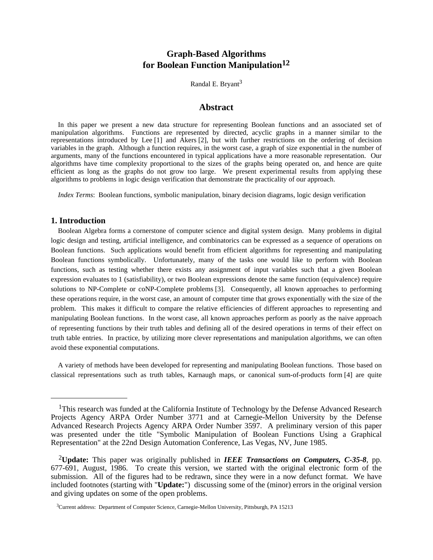# **Graph-Based Algorithms for Boolean Function Manipulation12**

Randal E. Bryant<sup>3</sup>

# **Abstract**

In this paper we present a new data structure for representing Boolean functions and an associated set of manipulation algorithms. Functions are represented by directed, acyclic graphs in a manner similar to the representations introduced by Lee [1] and Akers [2], but with further restrictions on the ordering of decision variables in the graph. Although a function requires, in the worst case, a graph of size exponential in the number of arguments, many of the functions encountered in typical applications have a more reasonable representation. Our algorithms have time complexity proportional to the sizes of the graphs being operated on, and hence are quite efficient as long as the graphs do not grow too large. We present experimental results from applying these algorithms to problems in logic design verification that demonstrate the practicality of our approach.

*Index Terms*: Boolean functions, symbolic manipulation, binary decision diagrams, logic design verification

# **1. Introduction**

Boolean Algebra forms a cornerstone of computer science and digital system design. Many problems in digital logic design and testing, artificial intelligence, and combinatorics can be expressed as a sequence of operations on Boolean functions. Such applications would benefit from efficient algorithms for representing and manipulating Boolean functions symbolically. Unfortunately, many of the tasks one would like to perform with Boolean functions, such as testing whether there exists any assignment of input variables such that a given Boolean expression evaluates to 1 (satisfiability), or two Boolean expressions denote the same function (equivalence) require solutions to NP-Complete or coNP-Complete problems [3]. Consequently, all known approaches to performing these operations require, in the worst case, an amount of computer time that grows exponentially with the size of the problem. This makes it difficult to compare the relative efficiencies of different approaches to representing and manipulating Boolean functions. In the worst case, all known approaches perform as poorly as the naive approach of representing functions by their truth tables and defining all of the desired operations in terms of their effect on truth table entries. In practice, by utilizing more clever representations and manipulation algorithms, we can often avoid these exponential computations.

A variety of methods have been developed for representing and manipulating Boolean functions. Those based on classical representations such as truth tables, Karnaugh maps, or canonical sum-of-products form [4] are quite

<sup>&</sup>lt;sup>1</sup>This research was funded at the California Institute of Technology by the Defense Advanced Research Projects Agency ARPA Order Number 3771 and at Carnegie-Mellon University by the Defense Advanced Research Projects Agency ARPA Order Number 3597. A preliminary version of this paper was presented under the title "Symbolic Manipulation of Boolean Functions Using a Graphical Representation" at the 22nd Design Automation Conference, Las Vegas, NV, June 1985.

<sup>2</sup>**Update:** This paper was originally published in *IEEE Transactions on Computers, C-35-8*, pp. 677-691, August, 1986. To create this version, we started with the original electronic form of the submission. All of the figures had to be redrawn, since they were in a now defunct format. We have included footnotes (starting with "**Update:**") discussing some of the (minor) errors in the original version and giving updates on some of the open problems.

<sup>&</sup>lt;sup>3</sup>Current address: Department of Computer Science, Carnegie-Mellon University, Pittsburgh, PA 15213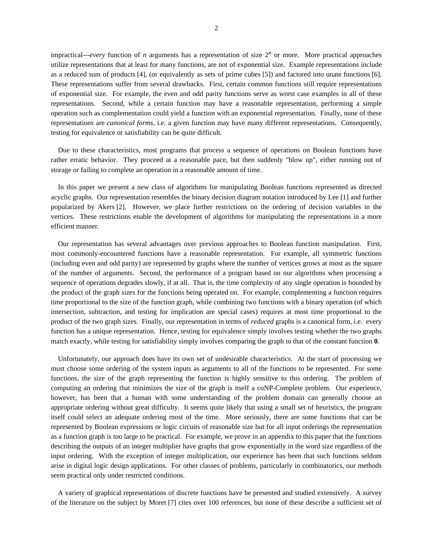impractical---*every* function of *n* arguments has a representation of size 2*<sup>n</sup>* or more. More practical approaches utilize representations that at least for many functions, are not of exponential size. Example representations include as a reduced sum of products [4], (or equivalently as sets of prime cubes [5]) and factored into unate functions [6]. These representations suffer from several drawbacks. First, certain common functions still require representations of exponential size. For example, the even and odd parity functions serve as worst case examples in all of these representations. Second, while a certain function may have a reasonable representation, performing a simple operation such as complementation could yield a function with an exponential representation. Finally, none of these representations are *canonical forms*, i.e. a given function may have many different representations. Consequently, testing for equivalence or satisfiability can be quite difficult.

Due to these characteristics, most programs that process a sequence of operations on Boolean functions have rather erratic behavior. They proceed at a reasonable pace, but then suddenly "blow up", either running out of storage or failing to complete an operation in a reasonable amount of time.

In this paper we present a new class of algorithms for manipulating Boolean functions represented as directed acyclic graphs. Our representation resembles the binary decision diagram notation introduced by Lee [1] and further popularized by Akers [2]. However, we place further restrictions on the ordering of decision variables in the vertices. These restrictions enable the development of algorithms for manipulating the representations in a more efficient manner.

Our representation has several advantages over previous approaches to Boolean function manipulation. First, most commonly-encountered functions have a reasonable representation. For example, all symmetric functions (including even and odd parity) are represented by graphs where the number of vertices grows at most as the square of the number of arguments. Second, the performance of a program based on our algorithms when processing a sequence of operations degrades slowly, if at all. That is, the time complexity of any single operation is bounded by the product of the graph sizes for the functions being operated on. For example, complementing a function requires time proportional to the size of the function graph, while combining two functions with a binary operation (of which intersection, subtraction, and testing for implication are special cases) requires at most time proportional to the product of the two graph sizes. Finally, our representation in terms of *reduced* graphs is a canonical form, i.e. every function has a unique representation. Hence, testing for equivalence simply involves testing whether the two graphs match exactly, while testing for satisfiability simply involves comparing the graph to that of the constant function **0**.

Unfortunately, our approach does have its own set of undesirable characteristics. At the start of processing we must choose some ordering of the system inputs as arguments to all of the functions to be represented. For some functions, the size of the graph representing the function is highly sensitive to this ordering. The problem of computing an ordering that minimizes the size of the graph is itself a coNP-Complete problem. Our experience, however, has been that a human with some understanding of the problem domain can generally choose an appropriate ordering without great difficulty. It seems quite likely that using a small set of heuristics, the program itself could select an adequate ordering most of the time. More seriously, there are some functions that can be represented by Boolean expressions or logic circuits of reasonable size but for all input orderings the representation as a function graph is too large to be practical. For example, we prove in an appendix to this paper that the functions describing the outputs of an integer multiplier have graphs that grow exponentially in the word size regardless of the input ordering. With the exception of integer multiplication, our experience has been that such functions seldom arise in digital logic design applications. For other classes of problems, particularly in combinatorics, our methods seem practical only under restricted conditions.

A variety of graphical representations of discrete functions have be presented and studied extensively. A survey of the literature on the subject by Moret [7] cites over 100 references, but none of these describe a sufficient set of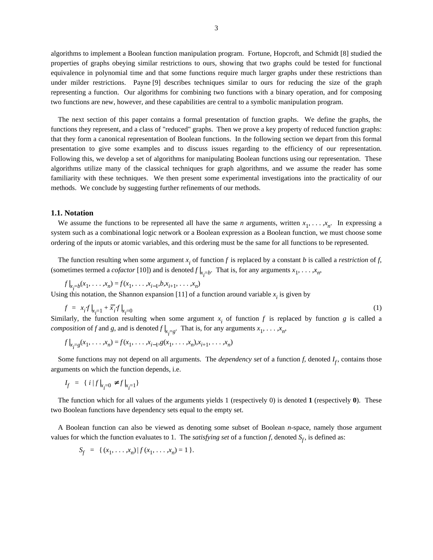algorithms to implement a Boolean function manipulation program. Fortune, Hopcroft, and Schmidt [8] studied the properties of graphs obeying similar restrictions to ours, showing that two graphs could be tested for functional equivalence in polynomial time and that some functions require much larger graphs under these restrictions than under milder restrictions. Payne [9] describes techniques similar to ours for reducing the size of the graph representing a function. Our algorithms for combining two functions with a binary operation, and for composing two functions are new, however, and these capabilities are central to a symbolic manipulation program.

The next section of this paper contains a formal presentation of function graphs. We define the graphs, the functions they represent, and a class of "reduced" graphs. Then we prove a key property of reduced function graphs: that they form a canonical representation of Boolean functions. In the following section we depart from this formal presentation to give some examples and to discuss issues regarding to the efficiency of our representation. Following this, we develop a set of algorithms for manipulating Boolean functions using our representation. These algorithms utilize many of the classical techniques for graph algorithms, and we assume the reader has some familiarity with these techniques. We then present some experimental investigations into the practicality of our methods. We conclude by suggesting further refinements of our methods.

### **1.1. Notation**

We assume the functions to be represented all have the same *n* arguments, written  $x_1, \ldots, x_n$ . In expressing a system such as a combinational logic network or a Boolean expression as a Boolean function, we must choose some ordering of the inputs or atomic variables, and this ordering must be the same for all functions to be represented.

The function resulting when some argument  $x_i$  of function  $f$  is replaced by a constant  $b$  is called a *restriction* of  $f$ , (sometimes termed a *cofactor* [10]) and is denoted  $f|_{x_i=b}$ . That is, for any arguments  $x_1, \ldots, x_n$ ,

$$
f|_{x_i=b}(x_1,\ldots,x_n) = f(x_1,\ldots,x_{i-1},b,x_{i+1},\ldots,x_n)
$$

Using this notation, the Shannon expansion [11] of a function around variable  $x_i$  is given by

$$
f = x_i f|_{x_i=1} + \overline{x}_i f|_{x_i=0}
$$
\n(1)

Similarly, the function resulting when some argument  $x_i$  of function *f* is replaced by function *g* is called a *composition* of *f* and *g*, and is denoted  $f|_{x_i=g}$ . That is, for any arguments  $x_1, \ldots, x_n$ ,

$$
f|_{x_{i}=g}(x_{1},...,x_{n})=f(x_{1},...,x_{i-1},g(x_{1},...,x_{n}),x_{i+1},...,x_{n})
$$

Some functions may not depend on all arguments. The *dependency set* of a function  $f$ , denoted  $I_f$ , contains those arguments on which the function depends, i.e.

$$
I_f = \{ i |f|_{x_i=0} \neq f|_{x_i=1} \}
$$

The function which for all values of the arguments yields 1 (respectively 0) is denoted **1** (respectively **0**). These two Boolean functions have dependency sets equal to the empty set.

A Boolean function can also be viewed as denoting some subset of Boolean *n*-space, namely those argument values for which the function evaluates to 1. The *satisfying set* of a function *f*, denoted  $S_f$ , is defined as:

$$
S_f = \{ (x_1, \ldots, x_n) | f (x_1, \ldots, x_n) = 1 \}.
$$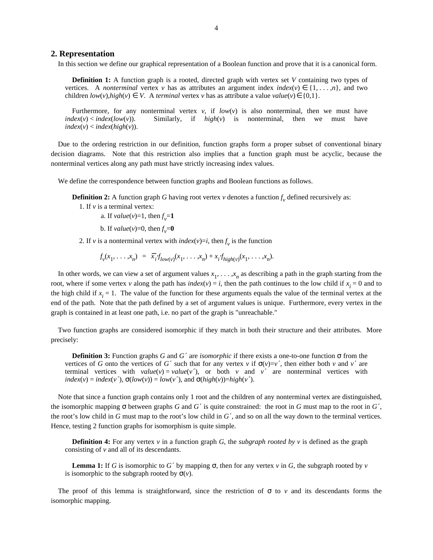# **2. Representation**

In this section we define our graphical representation of a Boolean function and prove that it is a canonical form.

**Definition 1:** A function graph is a rooted, directed graph with vertex set *V* containing two types of vertices. A *nonterminal* vertex *v* has as attributes an argument index  $index(v) \in \{1, \ldots, n\}$ , and two children  $low(v)$ ,*high*(*v*) ∈ *V*. A *terminal* vertex *v* has as attribute a value *value*(*v*) ∈ {0,1}.

Furthermore, for any nonterminal vertex  $v$ , if  $low(v)$  is also nonterminal, then we must have *index*(*v*) < *index*(*low*(*v*)). Similarly, if *high*(*v*) is nonterminal, then we must have  $index(v) < index(high(v))$ .

Due to the ordering restriction in our definition, function graphs form a proper subset of conventional binary decision diagrams. Note that this restriction also implies that a function graph must be acyclic, because the nonterminal vertices along any path must have strictly increasing index values.

We define the correspondence between function graphs and Boolean functions as follows.

**Definition 2:** A function graph *G* having root vertex *v* denotes a function  $f_v$  defined recursively as:

- 1. If *v* is a terminal vertex:
	- a. If  $value(v)=1$ , then  $f_v = 1$
	- b. If  $value(v)=0$ , then  $f_v=0$
- 2. If *v* is a nonterminal vertex with *index*(*v*)=*i*, then  $f_v$  is the function

$$
f_{\nu}(x_1,\ldots,x_n) = \overline{x}_i f_{low(\nu)}(x_1,\ldots,x_n) + x_i f_{high(\nu)}(x_1,\ldots,x_n).
$$

In other words, we can view a set of argument values  $x_1, \ldots, x_n$  as describing a path in the graph starting from the root, where if some vertex *v* along the path has *index*(*v*) = *i*, then the path continues to the low child if  $x_i = 0$  and to the high child if  $x_i = 1$ . The value of the function for these arguments equals the value of the terminal vertex at the end of the path. Note that the path defined by a set of argument values is unique. Furthermore, every vertex in the graph is contained in at least one path, i.e. no part of the graph is "unreachable."

Two function graphs are considered isomorphic if they match in both their structure and their attributes. More precisely:

**Definition 3:** Function graphs *G* and *G'* are *isomorphic* if there exists a one-to-one function  $\sigma$  from the vertices of *G* onto the vertices of *G'* such that for any vertex *v* if  $\sigma(v)=v'$ , then either both *v* and *v'* are terminal vertices with  $value(v) = value(v')$ , or both *v* and *v'* are nonterminal vertices with  $index(v) = index(v'), \sigma(low(v)) = low(v'), and \sigma(high(v)) = high(v').$ 

Note that since a function graph contains only 1 root and the children of any nonterminal vertex are distinguished, the isomorphic mapping  $\sigma$  between graphs *G* and *G'* is quite constrained: the root in *G* must map to the root in *G'*, the root's low child in *G* must map to the root's low child in *G* ′, and so on all the way down to the terminal vertices. Hence, testing 2 function graphs for isomorphism is quite simple.

**Definition 4:** For any vertex  $v$  in a function graph *G*, the *subgraph rooted by*  $v$  is defined as the graph consisting of *v* and all of its descendants.

**Lemma 1:** If *G* is isomorphic to *G'* by mapping  $\sigma$ , then for any vertex *v* in *G*, the subgraph rooted by *v* is isomorphic to the subgraph rooted by  $\sigma(v)$ .

The proof of this lemma is straightforward, since the restriction of  $\sigma$  to  $\nu$  and its descendants forms the isomorphic mapping.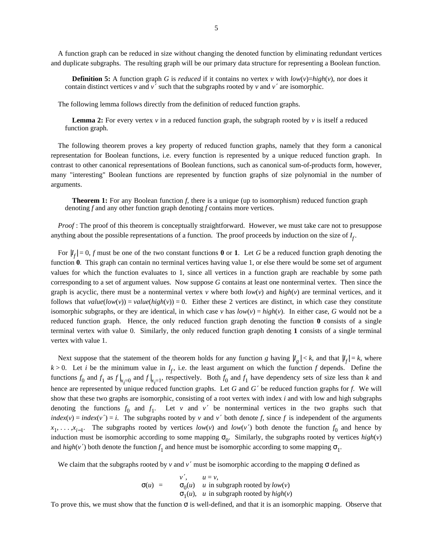A function graph can be reduced in size without changing the denoted function by eliminating redundant vertices and duplicate subgraphs. The resulting graph will be our primary data structure for representing a Boolean function.

**Definition 5:** A function graph *G* is *reduced* if it contains no vertex *v* with  $low(v)=high(v)$ , nor does it contain distinct vertices *v* and *v*<sup> $\prime$ </sup> such that the subgraphs rooted by *v* and *v*<sup> $\prime$ </sup> are isomorphic.

The following lemma follows directly from the definition of reduced function graphs.

**Lemma 2:** For every vertex  $v$  in a reduced function graph, the subgraph rooted by  $v$  is itself a reduced function graph.

The following theorem proves a key property of reduced function graphs, namely that they form a canonical representation for Boolean functions, i.e. every function is represented by a unique reduced function graph. In contrast to other canonical representations of Boolean functions, such as canonical sum-of-products form, however, many "interesting" Boolean functions are represented by function graphs of size polynomial in the number of arguments.

**Theorem 1:** For any Boolean function *f*, there is a unique (up to isomorphism) reduced function graph denoting *f* and any other function graph denoting *f* contains more vertices.

*Proof* : The proof of this theorem is conceptually straightforward. However, we must take care not to presuppose anything about the possible representations of a function. The proof proceeds by induction on the size of  $I_f$ .

For  $|I_f| = 0$ , *f* must be one of the two constant functions **0** or **1**. Let *G* be a reduced function graph denoting the function **0**. This graph can contain no terminal vertices having value 1, or else there would be some set of argument values for which the function evaluates to 1, since all vertices in a function graph are reachable by some path corresponding to a set of argument values. Now suppose *G* contains at least one nonterminal vertex. Then since the graph is acyclic, there must be a nonterminal vertex  $v$  where both  $low(v)$  and  $high(v)$  are terminal vertices, and it follows that  $value(low(v)) = value(high(v)) = 0$ . Either these 2 vertices are distinct, in which case they constitute isomorphic subgraphs, or they are identical, in which case  $v$  has  $low(v) = high(v)$ . In either case, *G* would not be a reduced function graph. Hence, the only reduced function graph denoting the function **0** consists of a single terminal vertex with value 0. Similarly, the only reduced function graph denoting **1** consists of a single terminal vertex with value 1.

Next suppose that the statement of the theorem holds for any function *g* having  $|I_g| < k$ , and that  $|I_f| = k$ , where  $k > 0$ . Let *i* be the minimum value in  $I_f$ , i.e. the least argument on which the function *f* depends. Define the functions  $f_0$  and  $f_1$  as  $f|_{x_i=0}$  and  $f|_{x_i=1}$ , respectively. Both  $f_0$  and  $f_1$  have dependency sets of size less than *k* and hence are represented by unique reduced function graphs. Let *G* and *G* ′ be reduced function graphs for *f*. We will show that these two graphs are isomorphic, consisting of a root vertex with index *i* and with low and high subgraphs denoting the functions  $f_0$  and  $f_1$ . Let *v* and *v'* be nonterminal vertices in the two graphs such that *index*(*v*) = *index*(*v*') = *i*. The subgraphs rooted by *v* and *v*' both denote *f*, since *f* is independent of the arguments  $x_1, \ldots, x_{i-1}$ . The subgraphs rooted by vertices *low*(*v*) and *low*(*v*') both denote the function  $f_0$  and hence by induction must be isomorphic according to some mapping  $\sigma_0$ . Similarly, the subgraphs rooted by vertices  $high(v)$ and  $high(v')$  both denote the function  $f_1$  and hence must be isomorphic according to some mapping  $\sigma_1$ .

We claim that the subgraphs rooted by *v* and *v'* must be isomorphic according to the mapping  $\sigma$  defined as

$$
\sigma(u) = \begin{cases}\nv', & u = v, \\
\sigma_0(u) & u \text{ in subgraph rooted by } low(v) \\
\sigma_1(u), & u \text{ in subgraph rooted by } high(v)\n\end{cases}
$$

To prove this, we must show that the function  $\sigma$  is well-defined, and that it is an isomorphic mapping. Observe that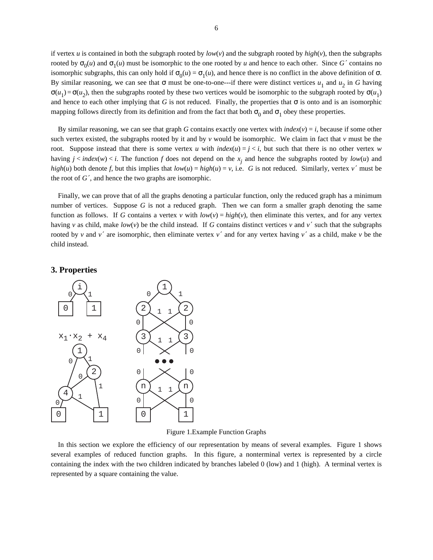if vertex *u* is contained in both the subgraph rooted by  $low(v)$  and the subgraph rooted by  $high(v)$ , then the subgraphs rooted by  $\sigma_0(u)$  and  $\sigma_1(u)$  must be isomorphic to the one rooted by *u* and hence to each other. Since *G*' contains no isomorphic subgraphs, this can only hold if  $\sigma_0(u) = \sigma_1(u)$ , and hence there is no conflict in the above definition of  $\sigma$ . By similar reasoning, we can see that  $\sigma$  must be one-to-one---if there were distinct vertices  $u_1$  and  $u_2$  in *G* having  $\sigma(u_1) = \sigma(u_2)$ , then the subgraphs rooted by these two vertices would be isomorphic to the subgraph rooted by  $\sigma(u_1)$ and hence to each other implying that *G* is not reduced. Finally, the properties that  $\sigma$  is onto and is an isomorphic mapping follows directly from its definition and from the fact that both  $\sigma_0$  and  $\sigma_1$  obey these properties.

By similar reasoning, we can see that graph *G* contains exactly one vertex with  $index(v) = i$ , because if some other such vertex existed, the subgraphs rooted by it and by *v* would be isomorphic. We claim in fact that *v* must be the root. Suppose instead that there is some vertex *u* with  $index(u) = j \lt i$ , but such that there is no other vertex *w* having  $j < index(w) < i$ . The function  $f$  does not depend on the  $x_j$  and hence the subgraphs rooted by  $low(u)$  and *high*(*u*) both denote *f*, but this implies that  $low(u) = high(u) = v$ , i.e. *G* is not reduced. Similarly, vertex *v*' must be the root of  $G'$ , and hence the two graphs are isomorphic.

Finally, we can prove that of all the graphs denoting a particular function, only the reduced graph has a minimum number of vertices. Suppose *G* is not a reduced graph. Then we can form a smaller graph denoting the same function as follows. If *G* contains a vertex *v* with  $low(v) = high(v)$ , then eliminate this vertex, and for any vertex having *v* as child, make  $low(v)$  be the child instead. If *G* contains distinct vertices *v* and *v'* such that the subgraphs rooted by *v* and *v'* are isomorphic, then eliminate vertex *v'* and for any vertex having *v'* as a child, make *v* be the child instead.

# **3. Properties**



Figure 1.Example Function Graphs

In this section we explore the efficiency of our representation by means of several examples. Figure 1 shows several examples of reduced function graphs. In this figure, a nonterminal vertex is represented by a circle containing the index with the two children indicated by branches labeled 0 (low) and 1 (high). A terminal vertex is represented by a square containing the value.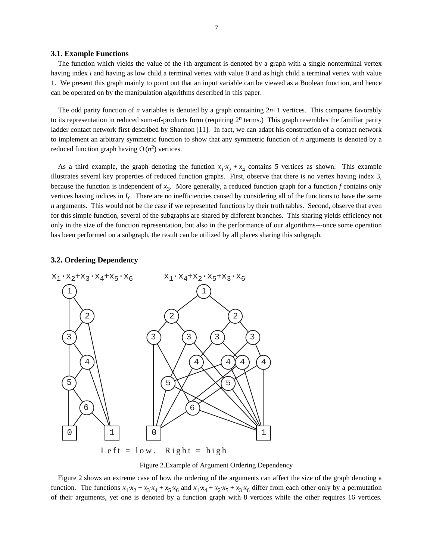#### **3.1. Example Functions**

The function which yields the value of the *i*th argument is denoted by a graph with a single nonterminal vertex having index *i* and having as low child a terminal vertex with value 0 and as high child a terminal vertex with value 1. We present this graph mainly to point out that an input variable can be viewed as a Boolean function, and hence can be operated on by the manipulation algorithms described in this paper.

The odd parity function of *n* variables is denoted by a graph containing 2*n*+1 vertices. This compares favorably to its representation in reduced sum-of-products form (requiring  $2<sup>n</sup>$  terms.) This graph resembles the familiar parity ladder contact network first described by Shannon [11]. In fact, we can adapt his construction of a contact network to implement an arbitrary symmetric function to show that any symmetric function of *n* arguments is denoted by a reduced function graph having  $O(n^2)$  vertices.

As a third example, the graph denoting the function  $x_1 \cdot x_2 + x_4$  contains 5 vertices as shown. This example illustrates several key properties of reduced function graphs. First, observe that there is no vertex having index 3, because the function is independent of *x* 3 . More generally, a reduced function graph for a function *f* contains only vertices having indices in  $I_f$ . There are no inefficiencies caused by considering all of the functions to have the same *n* arguments. This would not be the case if we represented functions by their truth tables. Second, observe that even for this simple function, several of the subgraphs are shared by different branches. This sharing yields efficiency not only in the size of the function representation, but also in the performance of our algorithms---once some operation has been performed on a subgraph, the result can be utilized by all places sharing this subgraph.

# **3.2. Ordering Dependency**



Left =  $low.$  Right = high

Figure 2.Example of Argument Ordering Dependency

Figure 2 shows an extreme case of how the ordering of the arguments can affect the size of the graph denoting a function. The functions  $x_1 \cdot x_2 + x_3 \cdot x_4 + x_5 \cdot x_6$  and  $x_1 \cdot x_4 + x_2 \cdot x_5 + x_3 \cdot x_6$  differ from each other only by a permutation of their arguments, yet one is denoted by a function graph with 8 vertices while the other requires 16 vertices.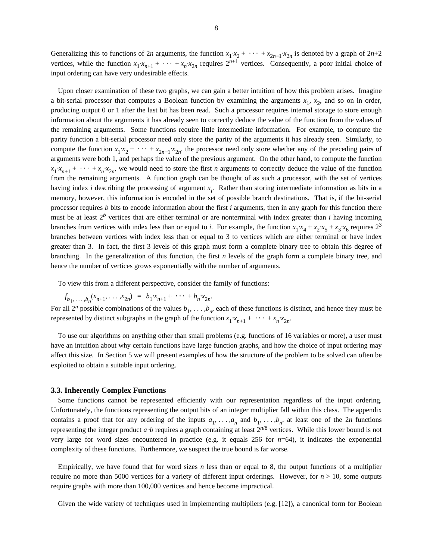Generalizing this to functions of 2*n* arguments, the function  $x_1 \cdot x_2 + \cdots + x_{2n-1} \cdot x_{2n}$  is denoted by a graph of 2*n*+2 vertices, while the function  $x_1 \cdot x_{n+1} + \cdots + x_n \cdot x_{2n}$  requires  $2^{n+1}$  vertices. Consequently, a poor initial choice of input ordering can have very undesirable effects.

Upon closer examination of these two graphs, we can gain a better intuition of how this problem arises. Imagine a bit-serial processor that computes a Boolean function by examining the arguments  $x_1$ ,  $x_2$ , and so on in order, producing output 0 or 1 after the last bit has been read. Such a processor requires internal storage to store enough information about the arguments it has already seen to correctly deduce the value of the function from the values of the remaining arguments. Some functions require little intermediate information. For example, to compute the parity function a bit-serial processor need only store the parity of the arguments it has already seen. Similarly, to compute the function  $x_1 \cdot x_2 + \cdots + x_{2n-1} \cdot x_{2n}$ , the processor need only store whether any of the preceding pairs of arguments were both 1, and perhaps the value of the previous argument. On the other hand, to compute the function  $x_1 x_{n+1} + \cdots + x_n x_{2n}$ , we would need to store the first *n* arguments to correctly deduce the value of the function from the remaining arguments. A function graph can be thought of as such a processor, with the set of vertices having index *i* describing the processing of argument  $x_i$ . Rather than storing intermediate information as bits in a memory, however, this information is encoded in the set of possible branch destinations. That is, if the bit-serial processor requires *b* bits to encode information about the first *i* arguments, then in any graph for this function there must be at least 2*<sup>b</sup>* vertices that are either terminal or are nonterminal with index greater than *i* having incoming branches from vertices with index less than or equal to *i*. For example, the function  $x_1 \cdot x_4 + x_2 \cdot x_5 + x_3 \cdot x_6$  requires  $2^3$ branches between vertices with index less than or equal to 3 to vertices which are either terminal or have index greater than 3. In fact, the first 3 levels of this graph must form a complete binary tree to obtain this degree of branching. In the generalization of this function, the first *n* levels of the graph form a complete binary tree, and hence the number of vertices grows exponentially with the number of arguments.

To view this from a different perspective, consider the family of functions:

$$
f_{b_1,\ldots,b_n}(x_{n+1},\ldots,x_{2n}) = b_1 \cdot x_{n+1} + \cdots + b_n \cdot x_{2n}.
$$

For all  $2^n$  possible combinations of the values  $b_1, \ldots, b_n$ , each of these functions is distinct, and hence they must be represented by distinct subgraphs in the graph of the function  $x_1 x_{n+1} + \cdots + x_n x_{2n}$ .

To use our algorithms on anything other than small problems (e.g. functions of 16 variables or more), a user must have an intuition about why certain functions have large function graphs, and how the choice of input ordering may affect this size. In Section 5 we will present examples of how the structure of the problem to be solved can often be exploited to obtain a suitable input ordering.

#### **3.3. Inherently Complex Functions**

Some functions cannot be represented efficiently with our representation regardless of the input ordering. Unfortunately, the functions representing the output bits of an integer multiplier fall within this class. The appendix contains a proof that for any ordering of the inputs  $a_1, \ldots, a_n$  and  $b_1, \ldots, b_n$ , at least one of the 2*n* functions representing the integer product  $a \cdot b$  requires a graph containing at least  $2^{n/8}$  vertices. While this lower bound is not very large for word sizes encountered in practice (e.g. it equals 256 for  $n=64$ ), it indicates the exponential complexity of these functions. Furthermore, we suspect the true bound is far worse.

Empirically, we have found that for word sizes *n* less than or equal to 8, the output functions of a multiplier require no more than 5000 vertices for a variety of different input orderings. However, for  $n > 10$ , some outputs require graphs with more than 100,000 vertices and hence become impractical.

Given the wide variety of techniques used in implementing multipliers (e.g. [12]), a canonical form for Boolean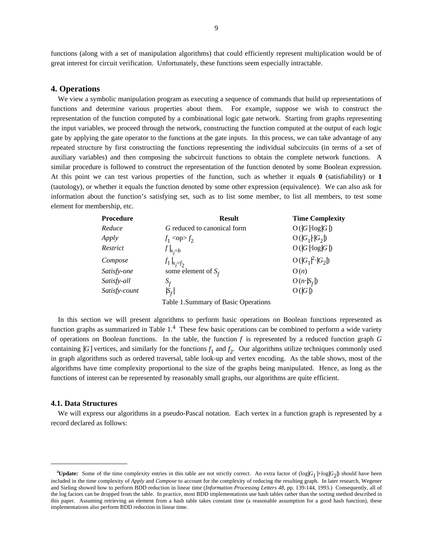functions (along with a set of manipulation algorithms) that could efficiently represent multiplication would be of great interest for circuit verification. Unfortunately, these functions seem especially intractable.

# **4. Operations**

We view a symbolic manipulation program as executing a sequence of commands that build up representations of functions and determine various properties about them. For example, suppose we wish to construct the representation of the function computed by a combinational logic gate network. Starting from graphs representing the input variables, we proceed through the network, constructing the function computed at the output of each logic gate by applying the gate operator to the functions at the gate inputs. In this process, we can take advantage of any repeated structure by first constructing the functions representing the individual subcircuits (in terms of a set of auxiliary variables) and then composing the subcircuit functions to obtain the complete network functions. A similar procedure is followed to construct the representation of the function denoted by some Boolean expression. At this point we can test various properties of the function, such as whether it equals **0** (satisfiability) or **1** (tautology), or whether it equals the function denoted by some other expression (equivalence). We can also ask for information about the function's satisfying set, such as to list some member, to list all members, to test some element for membership, etc.

| Procedure     | <b>Result</b>                   | <b>Time Complexity</b> |
|---------------|---------------------------------|------------------------|
| Reduce        | G reduced to canonical form     | $O( G \cdot log G )$   |
| Apply         | $f_1$ <op><math>f_2</math></op> | $O( G_1 \cdot  G_2 )$  |
| Restrict      | $f _{x=b}$                      | $O( G \cdot log G )$   |
| Compose       | $f_1 _{x_i=f_2}$                | $O( G_1 ^2$ $ G_2 )$   |
| Satisfy-one   | some element of $S_f$           | O(n)                   |
| Satisfy-all   | $S_f$                           | $O(n  S_f )$           |
| Satisfy-count | $ S_f $                         | O( G )                 |
|               |                                 |                        |

Table 1.Summary of Basic Operations

In this section we will present algorithms to perform basic operations on Boolean functions represented as function graphs as summarized in Table  $1<sup>4</sup>$  These few basic operations can be combined to perform a wide variety of operations on Boolean functions. In the table, the function *f* is represented by a reduced function graph *G* containing  $|G|$  vertices, and similarly for the functions  $f_1$  and  $f_2$ . Our algorithms utilize techniques commonly used in graph algorithms such as ordered traversal, table look-up and vertex encoding. As the table shows, most of the algorithms have time complexity proportional to the size of the graphs being manipulated. Hence, as long as the functions of interest can be represented by reasonably small graphs, our algorithms are quite efficient.

#### **4.1. Data Structures**

We will express our algorithms in a pseudo-Pascal notation. Each vertex in a function graph is represented by a record declared as follows:

<sup>&</sup>lt;sup>4</sup>Update: Some of the time complexity entries in this table are not strictly correct. An extra factor of  $(\log|G_1| + \log|G_2|)$  should have been included in the time complexity of *Apply* and *Compose* to account for the complexity of reducing the resulting graph. In later research, Wegener and Sieling showed how to perform BDD reduction in linear time (*Information Processing Letters 48*, pp. 139-144, 1993.) Consequently, all of the log factors can be dropped from the table. In practice, most BDD implementations use hash tables rather than the sorting method described in this paper. Assuming retrieving an element from a hash table takes constant time (a reasonable assumption for a good hash function), these implementations also perform BDD reduction in linear time.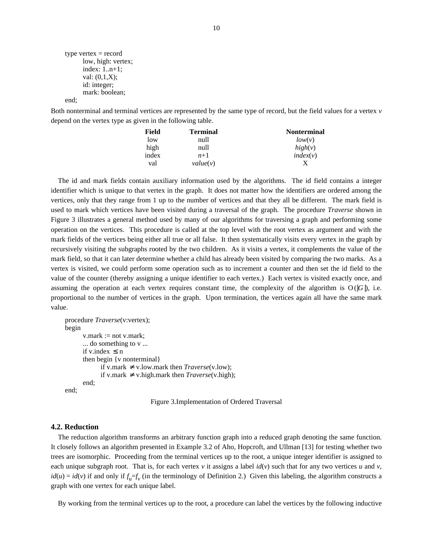```
type vertex = record
      low, high: vertex;
      index: 1..n+1;
      val: (0,1,X);
      id: integer;
      mark: boolean;
end;
```
Both nonterminal and terminal vertices are represented by the same type of record, but the field values for a vertex *v* depend on the vertex type as given in the following table.

| Field | <b>Terminal</b> | <b>Nonterminal</b> |
|-------|-----------------|--------------------|
| low   | null            | low(v)             |
| high  | null            | high(v)            |
| index | $n+1$           | index(v)           |
| val   | value(v)        |                    |

The id and mark fields contain auxiliary information used by the algorithms. The id field contains a integer identifier which is unique to that vertex in the graph. It does not matter how the identifiers are ordered among the vertices, only that they range from 1 up to the number of vertices and that they all be different. The mark field is used to mark which vertices have been visited during a traversal of the graph. The procedure *Traverse* shown in Figure 3 illustrates a general method used by many of our algorithms for traversing a graph and performing some operation on the vertices. This procedure is called at the top level with the root vertex as argument and with the mark fields of the vertices being either all true or all false. It then systematically visits every vertex in the graph by recursively visiting the subgraphs rooted by the two children. As it visits a vertex, it complements the value of the mark field, so that it can later determine whether a child has already been visited by comparing the two marks. As a vertex is visited, we could perform some operation such as to increment a counter and then set the id field to the value of the counter (thereby assigning a unique identifier to each vertex.) Each vertex is visited exactly once, and assuming the operation at each vertex requires constant time, the complexity of the algorithm is  $O(|G|)$ , i.e. proportional to the number of vertices in the graph. Upon termination, the vertices again all have the same mark value.

```
procedure Traverse(v:vertex);
begin
      v.maxk := not v.maxk;... do something to v ...
      if v.index \leq nthen begin {v nonterminal}
            if v.mark ≠ v.low.mark then Traverse(v.low);
            if v.mark ≠ v.high.mark then Traverse(v.high);
      end;
end;
```
Figure 3.Implementation of Ordered Traversal

## **4.2. Reduction**

The reduction algorithm transforms an arbitrary function graph into a reduced graph denoting the same function. It closely follows an algorithm presented in Example 3.2 of Aho, Hopcroft, and Ullman [13] for testing whether two trees are isomorphic. Proceeding from the terminal vertices up to the root, a unique integer identifier is assigned to each unique subgraph root. That is, for each vertex  $v$  it assigns a label  $id(v)$  such that for any two vertices  $u$  and  $v$ ,  $id(u) = id(v)$  if and only if  $f_u = f_v$  (in the terminology of Definition 2.) Given this labeling, the algorithm constructs a graph with one vertex for each unique label.

By working from the terminal vertices up to the root, a procedure can label the vertices by the following inductive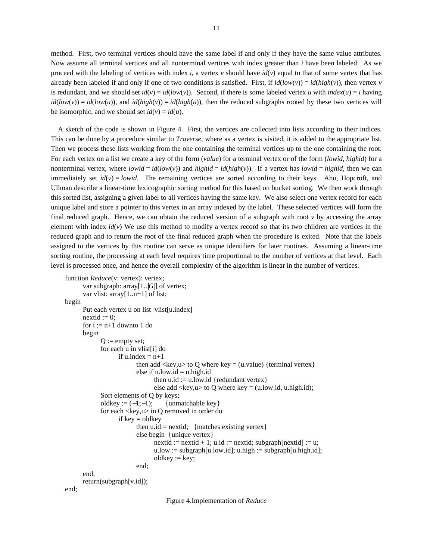method. First, two terminal vertices should have the same label if and only if they have the same value attributes. Now assume all terminal vertices and all nonterminal vertices with index greater than *i* have been labeled. As we proceed with the labeling of vertices with index *i*, a vertex  $\nu$  should have  $id(\nu)$  equal to that of some vertex that has already been labeled if and only if one of two conditions is satisfied. First, if  $id(low(v)) = id(high(v))$ , then vertex *v* is redundant, and we should set  $id(v) = id(low(v))$ . Second, if there is some labeled vertex *u* with  $index(u) = i$  having  $id(low(v)) = id(low(u))$ , and  $id(high(v)) = id(high(u))$ , then the reduced subgraphs rooted by these two vertices will be isomorphic, and we should set  $id(v) = id(u)$ .

A sketch of the code is shown in Figure 4. First, the vertices are collected into lists according to their indices. This can be done by a procedure similar to *Traverse*, where as a vertex is visited, it is added to the appropriate list. Then we process these lists working from the one containing the terminal vertices up to the one containing the root. For each vertex on a list we create a key of the form (*value*) for a terminal vertex or of the form (*lowid*, *highid*) for a nonterminal vertex, where  $lowid = id(low(v))$  and  $highid = id(high(v))$ . If a vertex has  $lowid = highid$ , then we can immediately set  $id(v) = lowid$ . The remaining vertices are sorted according to their keys. Aho, Hopcroft, and Ullman describe a linear-time lexicographic sorting method for this based on bucket sorting. We then work through this sorted list, assigning a given label to all vertices having the same key. We also select one vertex record for each unique label and store a pointer to this vertex in an array indexed by the label. These selected vertices will form the final reduced graph. Hence, we can obtain the reduced version of a subgraph with root  $\nu$  by accessing the array element with index *id*(*v*) We use this method to modify a vertex record so that its two children are vertices in the reduced graph and to return the root of the final reduced graph when the procedure is exited. Note that the labels assigned to the vertices by this routine can serve as unique identifiers for later routines. Assuming a linear-time sorting routine, the processing at each level requires time proportional to the number of vertices at that level. Each level is processed once, and hence the overall complexity of the algorithm is linear in the number of vertices.

```
function Reduce(v: vertex): vertex;
      var subgraph: array[1..]G[] of vertex;
      var vlist: array[1..n+1] of list;
begin
      Put each vertex u on list vlist[u.index]
      nextid := 0:
      for i := n+1 downto 1 do
      begin
             Q := empty set;
             for each u in vlist[i] do
                   if u.index = n+1then add \langle key, u \rangle to O where key = (u.value) {terminal vertex}
                         else if u.low.id = u.high.id
                                then u.id := u.low.id {redundant vertex}
                                else add \langle key, u \rangle to Q where key = (u.low.id, u.high.id);
             Sort elements of Q by keys;
             oldkey := (-1;-1); {unmatchable key}
             for each <key,u> in Q removed in order do
                   if key = oldkey
                          then u.id:= nextid; {matches existing vertex}
                          else begin {unique vertex}
                                nextid := nextid + 1; u.id := nextid; subgraph[nextid] := u;u.low := subgraph[u.low.id]; u.high := subgraph[u.high.id];
                                oldkey := key;end;
      end;
```
return(subgraph[v.id]);

```
end;
```
Figure 4.Implementation of *Reduce*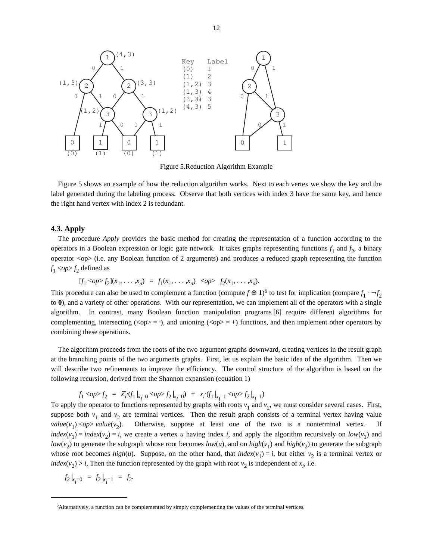

Figure 5.Reduction Algorithm Example

Figure 5 shows an example of how the reduction algorithm works. Next to each vertex we show the key and the label generated during the labeling process. Observe that both vertices with index 3 have the same key, and hence the right hand vertex with index 2 is redundant.

# **4.3. Apply**

The procedure *Apply* provides the basic method for creating the representation of a function according to the operators in a Boolean expression or logic gate network. It takes graphs representing functions  $f_1$  and  $f_2$ , a binary operator <op> (i.e. any Boolean function of 2 arguments) and produces a reduced graph representing the function  $f_1$  <*op*> $f_2$  defined as

$$
[f_1 < op > f_2](x_1, \ldots, x_n) = f_1(x_1, \ldots, x_n) < op > f_2(x_1, \ldots, x_n).
$$

This procedure can also be used to complement a function (compute  $f \oplus 1$ )<sup>5</sup> to test for implication (compare  $f_1 \cdot \neg f_2$ to **0**), and a variety of other operations. With our representation, we can implement all of the operators with a single algorithm. In contrast, many Boolean function manipulation programs [6] require different algorithms for complementing, intersecting ( $\langle op \rangle = \cdot$ ), and unioning ( $\langle op \rangle = +$ ) functions, and then implement other operators by combining these operations.

The algorithm proceeds from the roots of the two argument graphs downward, creating vertices in the result graph at the branching points of the two arguments graphs. First, let us explain the basic idea of the algorithm. Then we will describe two refinements to improve the efficiency. The control structure of the algorithm is based on the following recursion, derived from the Shannon expansion (equation 1)

$$
f_1 <\!\! op \!\!>_f_2 \; = \; \overline{x}_i \cdot (f_1|_{x_i=0} <\!\! op \!\!>_f_2|_{x_i=0}) \; + \; x_i \cdot (f_1|_{x_i=1} <\!\! op \!\!>_f_2|_{x_i=1})
$$

To apply the operator to functions represented by graphs with roots *v*<sub>1</sub> and *v*<sub>2</sub>, we must consider several cases. First, suppose both  $v_1$  and  $v_2$  are terminal vertices. Then the result graph consists of a terminal vertex having value  $value(v_1) \le op > value(v_2)$ . Otherwise, suppose at least one of the two is a nonterminal vertex. If  $index(v_1) = index(v_2) = i$ , we create a vertex *u* having index *i*, and apply the algorithm recursively on  $low(v_1)$  and *low*( $v_2$ ) to generate the subgraph whose root becomes *low*(*u*), and on *high*( $v_1$ ) and *high*( $v_2$ ) to generate the subgraph whose root becomes *high*(*u*). Suppose, on the other hand, that *index*(*v*<sub>1</sub>) = *i*, but either *v*<sub>2</sub> is a terminal vertex or *index*(*v*<sub>2</sub>) > *i*, Then the function represented by the graph with root *v*<sub>2</sub> is independent of *x*<sub>*i*</sub>, i.e.

$$
f_2|_{x_i=0} = f_2|_{x_i=1} = f_2.
$$

<sup>5</sup>Alternatively, a function can be complemented by simply complementing the values of the terminal vertices.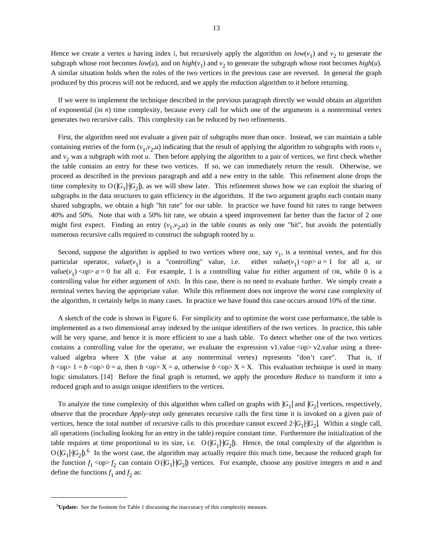Hence we create a vertex *u* having index *i*, but recursively apply the algorithm on  $low(v_1)$  and  $v_2$  to generate the subgraph whose root becomes  $low(u)$ , and on  $high(v_1)$  and  $v_2$  to generate the subgraph whose root becomes  $high(u)$ . A similar situation holds when the roles of the two vertices in the previous case are reversed. In general the graph produced by this process will not be reduced, and we apply the reduction algorithm to it before returning.

If we were to implement the technique described in the previous paragraph directly we would obtain an algorithm of exponential (in *n*) time complexity, because every call for which one of the arguments is a nonterminal vertex generates two recursive calls. This complexity can be reduced by two refinements.

First, the algorithm need not evaluate a given pair of subgraphs more than once. Instead, we can maintain a table containing entries of the form  $(v_1, v_2, u)$  indicating that the result of applying the algorithm to subgraphs with roots  $v_1$ and  $v_2$  was a subgraph with root  $u$ . Then before applying the algorithm to a pair of vertices, we first check whether the table contains an entry for these two vertices. If so, we can immediately return the result. Otherwise, we proceed as described in the previous paragraph and add a new entry to the table. This refinement alone drops the time complexity to  $O(|G_1| |G_2|)$ , as we will show later. This refinement shows how we can exploit the sharing of subgraphs in the data structures to gain efficiency in the algorithms. If the two argument graphs each contain many shared subgraphs, we obtain a high "hit rate" for our table. In practice we have found hit rates to range between 40% and 50%. Note that with a 50% hit rate, we obtain a speed improvement far better than the factor of 2 one might first expect. Finding an entry  $(v_1, v_2, u)$  in the table counts as only one "hit", but avoids the potentially numerous recursive calls required to construct the subgraph rooted by *u*.

Second, suppose the algorithm is applied to two vertices where one, say  $v_1$ , is a terminal vertex, and for this particular operator,  $value(v_1)$  is a "controlling" value, i.e. either  $value(v_1) < op>a = 1$  for all *a*, or *value*( $v_1$ ) <*op*> *a* = 0 for all *a*. For example, 1 is a controlling value for either argument of OR, while 0 is a controlling value for either argument of AND. In this case, there is no need to evaluate further. We simply create a terminal vertex having the appropriate value. While this refinement does not improve the worst case complexity of the algorithm, it certainly helps in many cases. In practice we have found this case occurs around 10% of the time.

A sketch of the code is shown in Figure 6. For simplicity and to optimize the worst case performance, the table is implemented as a two dimensional array indexed by the unique identifiers of the two vertices. In practice, this table will be very sparse, and hence it is more efficient to use a hash table. To detect whether one of the two vertices contains a controlling value for the operator, we evaluate the expression v1.value  $\langle op \rangle \vee$  v2.value using a threevalued algebra where X (the value at any nonterminal vertex) represents "don't care". That is, if  $b \leq b \leq b \leq b \leq b$  = *a*, then  $b \leq b \leq x$  = *a*, otherwise  $b \leq b \leq x$ . This evaluation technique is used in many logic simulators. [14] Before the final graph is returned, we apply the procedure *Reduce* to transform it into a reduced graph and to assign unique identifiers to the vertices.

To analyze the time complexity of this algorithm when called on graphs with  $|G_1|$  and  $|G_2|$  vertices, respectively, observe that the procedure *Apply-step* only generates recursive calls the first time it is invoked on a given pair of vertices, hence the total number of recursive calls to this procedure cannot exceed 2⋅|*G*<sub>1</sub>|⋅|*G*<sub>2</sub>|. Within a single call, all operations (including looking for an entry in the table) require constant time. Furthermore the initialization of the table requires at time proportional to its size, i.e.  $O(|G_1| |G_2|)$ . Hence, the total complexity of the algorithm is  $O(|G_1|\cdot |G_2|)$ .<sup>6</sup> In the worst case, the algorithm may actually require this much time, because the reduced graph for the function  $f_1 < \text{op}> f_2$  can contain O( $|G_1|$ · $|G_2|$ ) vertices. For example, choose any positive integers *m* and *n* and define the functions  $f_1$  and  $f_2$  as:

<sup>6</sup>**Update:** See the footnote for Table 1 discussing the inaccuracy of this complexity measure.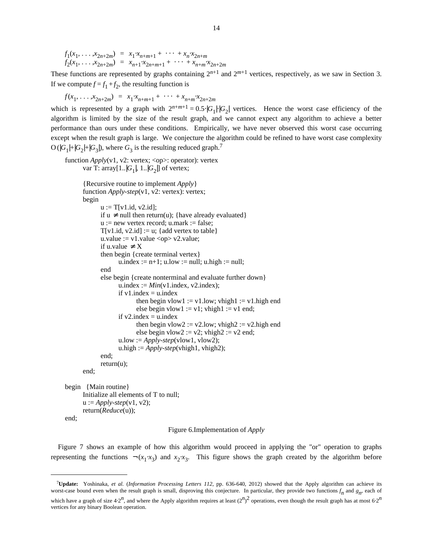$f_1(x_1, ..., x_{2n+2m}) = x_1 \cdot x_{n+m+1} + \cdots + x_n \cdot x_{2n+m}$ <br>  $f_2(x_1, ..., x_{2n+2m}) = x_{n+1} \cdot x_{2n+m+1} + \cdots + x_{n+m} \cdot x_{2n+2m}$ 

These functions are represented by graphs containing  $2^{n+1}$  and  $2^{m+1}$  vertices, respectively, as we saw in Section 3. If we compute  $f = f_1 + f_2$ , the resulting function is

$$
f(x_1, \ldots, x_{2n+2m}) = x_1 \cdot x_{n+m+1} + \cdots + x_{n+m} \cdot x_{2n+2m}
$$

which is represented by a graph with  $2^{n+m+1} = 0.5 \cdot |G_1| \cdot |G_2|$  vertices. Hence the worst case efficiency of the algorithm is limited by the size of the result graph, and we cannot expect any algorithm to achieve a better performance than ours under these conditions. Empirically, we have never observed this worst case occurring except when the result graph is large. We conjecture the algorithm could be refined to have worst case complexity  $O(|G_1|+|G_2|+|G_3|)$ , where  $G_3$  is the resulting reduced graph.<sup>7</sup>

```
function Apply(v1, v2: vertex; <op>: operator): vertex
       var T: \arctan [1..|G_1|, 1..|G_2|] of vertex;
```

```
{Recursive routine to implement Apply}
function Apply-step(v1, v2: vertex): vertex;
begin
      u := T[v1.id, v2.id];
      if u ≠ null then return(u); {have already evaluated}
      u := new vertex record; u.maxk := false;T[v1.id, v2.id] := u; {add vertex to table}
      u.value := v1.value <op> v2.value;
      if u.value \neq X
      then begin {create terminal vertex}
            u.index := n+1; u.low := null; u.high := null;
      end
      else begin {create nonterminal and evaluate further down}
            u.index := Min(v1.index, v2.index);if v1.index = u.index
                   then begin vlow1 := v1.low; vhigh1 := v1.high end
                   else begin vlow1 := v1; vhigh1 := v1 end;
            if v2 index = u.index
                   then begin vlow2 := v2.low; vhigh2 := v2.high end
                  else begin vlow2 := v2; vhigh2 := v2 end;
            u.low := Apply-step(vlow1, vlow2);u.high := Apply-step (vhigh1, vhigh2);
      end;
      return(u);
end;
```

```
begin {Main routine}
      Initialize all elements of T to null;
      u := Apply-step(v1, v2);return(Reduce(u));
end;
```
#### Figure 6.Implementation of *Apply*

Figure 7 shows an example of how this algorithm would proceed in applying the "or" operation to graphs representing the functions  $\neg(x_1 \cdot x_3)$  and  $x_2 \cdot x_3$ . This figure shows the graph created by the algorithm before

<sup>7</sup>**Update:** Yoshinaka, *et al.* (*Information Processing Letters 112*, pp. 636-640, 2012) showed that the Apply algorithm can achieve its worst-case bound even when the result graph is small, disproving this conjecture. In particular, they provide two functions  $f_n$  and  $g_n$ , each of

which have a graph of size 4⋅2<sup>*n*</sup>, and where the Apply algorithm requires at least  $(2^n)^2$  operations, even though the result graph has at most 6⋅2<sup>*n*</sup> vertices for any binary Boolean operation.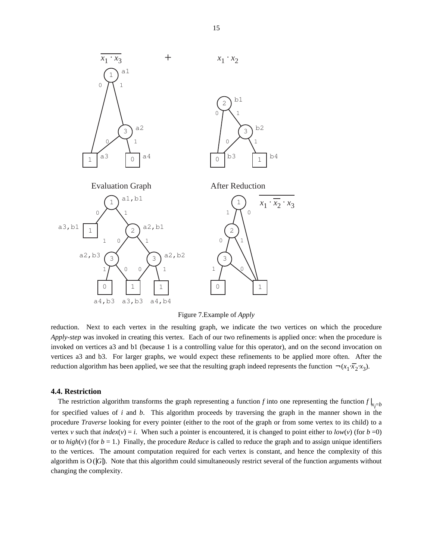

Figure 7.Example of *Apply*

reduction. Next to each vertex in the resulting graph, we indicate the two vertices on which the procedure *Apply-step* was invoked in creating this vertex. Each of our two refinements is applied once: when the procedure is invoked on vertices a3 and b1 (because 1 is a controlling value for this operator), and on the second invocation on vertices a3 and b3. For larger graphs, we would expect these refinements to be applied more often. After the reduction algorithm has been applied, we see that the resulting graph indeed represents the function  $\neg(x_1 \cdot \overline{x}_2 \cdot x_3)$ .

#### **4.4. Restriction**

The restriction algorithm transforms the graph representing a function *f* into one representing the function  $f|_{x_i=b}$ for specified values of *i* and *b*. This algorithm proceeds by traversing the graph in the manner shown in the procedure *Traverse* looking for every pointer (either to the root of the graph or from some vertex to its child) to a vertex *v* such that *index*(*v*) = *i*. When such a pointer is encountered, it is changed to point either to *low*(*v*) (for *b* =0) or to  $high(v)$  (for  $b = 1$ .) Finally, the procedure *Reduce* is called to reduce the graph and to assign unique identifiers to the vertices. The amount computation required for each vertex is constant, and hence the complexity of this algorithm is  $O(|G|)$ . Note that this algorithm could simultaneously restrict several of the function arguments without changing the complexity.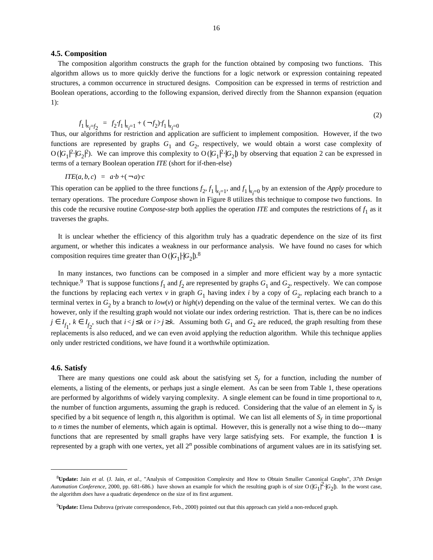#### **4.5. Composition**

The composition algorithm constructs the graph for the function obtained by composing two functions. This algorithm allows us to more quickly derive the functions for a logic network or expression containing repeated structures, a common occurrence in structured designs. Composition can be expressed in terms of restriction and Boolean operations, according to the following expansion, derived directly from the Shannon expansion (equation 1):

$$
f_1|_{x_{\vec{i}}=f_2} = f_2 \cdot f_1|_{x_{\vec{i}}=1} + (-f_2) \cdot f_1|_{x_{\vec{i}}=0}
$$

(2)

Thus, our algorithms for restriction and application are sufficient to implement composition. However, if the two functions are represented by graphs  $G_1$  and  $G_2$ , respectively, we would obtain a worst case complexity of  $O(|G_1|^2 \cdot |G_2|^2)$ . We can improve this complexity to  $O(|G_1|^2 \cdot |G_2|)$  by observing that equation 2 can be expressed in | | | terms of a ternary Boolean operation *ITE* (short for if-then-else)

$$
ITE(a, b, c) = a \cdot b + (-a) \cdot c
$$

This operation can be applied to the three functions  $f_2$ ,  $f_1|_{x_i=1}$ , and  $f_1|_{x_i=0}$  by an extension of the *Apply* procedure to | | ternary operations. The procedure *Compose* shown in Figure 8 utilizes this technique to compose two functions. In this code the recursive routine *Compose-step* both applies the operation *ITE* and computes the restrictions of  $f_1$  as it traverses the graphs.

It is unclear whether the efficiency of this algorithm truly has a quadratic dependence on the size of its first argument, or whether this indicates a weakness in our performance analysis. We have found no cases for which composition requires time greater than O ( $|G_1|\cdot |G_2|$ ).<sup>8</sup>

In many instances, two functions can be composed in a simpler and more efficient way by a more syntactic technique.<sup>9</sup> That is suppose functions  $f_1$  and  $f_2$  are represented by graphs  $G_1$  and  $G_2$ , respectively. We can compose the functions by replacing each vertex  $v$  in graph  $G_1$  having index *i* by a copy of  $G_2$ , replacing each branch to a terminal vertex in  $G_2$  by a branch to  $low(v)$  or  $high(v)$  depending on the value of the terminal vertex. We can do this however, only if the resulting graph would not violate our index ordering restriction. That is, there can be no indices  $j \in I_{f_1}$ ,  $k \in I_{f_2}$ , such that  $i < j \le k$  or  $i > j \ge k$ . Assuming both  $G_1$  and  $G_2$  are reduced, the graph resulting from these replacements is also reduced, and we can even avoid applying the reduction algorithm. While this technique applies only under restricted conditions, we have found it a worthwhile optimization.

#### **4.6. Satisfy**

There are many questions one could ask about the satisfying set  $S_f$  for a function, including the number of elements, a listing of the elements, or perhaps just a single element. As can be seen from Table 1, these operations are performed by algorithms of widely varying complexity. A single element can be found in time proportional to *n*, the number of function arguments, assuming the graph is reduced. Considering that the value of an element in  $S_f$  is specified by a bit sequence of length *n*, this algorithm is optimal. We can list all elements of  $S_f$  in time proportional to *n* times the number of elements, which again is optimal. However, this is generally not a wise thing to do---many functions that are represented by small graphs have very large satisfying sets. For example, the function **1** is represented by a graph with one vertex, yet all 2*<sup>n</sup>* possible combinations of argument values are in its satisfying set.

<sup>8</sup>**Update:** Jain *et al.* (J. Jain, *et al.*, "Analysis of Composition Complexity and How to Obtain Smaller Canonical Graphs", *37th Design Automation Conference*, 2000, pp. 681-686.) have shown an example for which the resulting graph is of size O ( $|G_1|^2$ · $|G_2|$ ). In the worst case, the algorithm *does* have a quadratic dependence on the size of its first argument.

<sup>9</sup>**Update:** Elena Dubrova (private correspondence, Feb., 2000) pointed out that this approach can yield a non-reduced graph.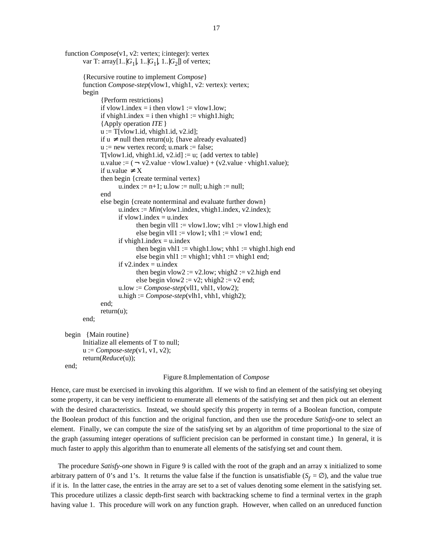```
function Compose(v1, v2: vertex; i:integer): vertex
       var T: array[1..|G_1|, 1..|G_1|, 1..|G_2|] of vertex;
      {Recursive routine to implement Compose}
      function Compose-step(vlow1, vhigh1, v2: vertex): vertex;
      begin
             {Perform restrictions}
             if vlow1.index = i then vlow1 := vlow1.low;
             if vhigh1.index = i then vhigh1 := vhigh1.high;
             {Apply operation ITE}
             u := T[vlow1.id, vhigh1.id, v2.id];if u ≠ null then return(u); {have already evaluated}
             u := new vertex record; u.mark := false;
             T[vlow1.id, whigh1.id, v2.id] := u; \{add vertex to table\}u.value := (- \text{ v2}.\text{value} \cdot \text{vlow1}.\text{value}) + (\text{v2}.\text{value} \cdot \text{vhigh1}.\text{value});
             if u.value \neq X
             then begin {create terminal vertex}
                    u.index := n+1; u.low := null; u.high := null;
             end
             else begin {create nonterminal and evaluate further down}
                    u.index := Min(\text{vlow1}.index, \text{vhigh1}.index, \text{v2}.index);if vlow1.index = u.indexthen begin vll1 := vlow1.low; vlh1 := vlow1.high end
                          else begin vll1 := vlow1; vlh1 := vlow1 end;
                    if vhigh1.index = u.index
                          then begin vhl1 := vhigh1.low; vhh1 := vhigh1.high end
                          else begin vhl1 := vhigh1; vhh1 := vhigh1 end;
                    if v2 index = u.index
                          then begin vlow2 := v2.low; vhigh2 := v2.high end
                          else begin vlow2 := v2; vhigh2 := v2 end;
                    u.low := Compose-step(vll1, vhl1, vlow2);
                    u.high := Compose-step(vlh1, vhh1, vhigh2);
             end;
             return(u);
      end;
begin {Main routine}
      Initialize all elements of T to null;
      u := Compose-step(v1, v1, v2);return(Reduce(u));
end;
```
### Figure 8.Implementation of *Compose*

Hence, care must be exercised in invoking this algorithm. If we wish to find an element of the satisfying set obeying some property, it can be very inefficient to enumerate all elements of the satisfying set and then pick out an element with the desired characteristics. Instead, we should specify this property in terms of a Boolean function, compute the Boolean product of this function and the original function, and then use the procedure *Satisfy-one* to select an element. Finally, we can compute the size of the satisfying set by an algorithm of time proportional to the size of the graph (assuming integer operations of sufficient precision can be performed in constant time.) In general, it is much faster to apply this algorithm than to enumerate all elements of the satisfying set and count them.

The procedure *Satisfy-one* shown in Figure 9 is called with the root of the graph and an array x initialized to some arbitrary pattern of 0's and 1's. It returns the value false if the function is unsatisfiable  $(S_f = \emptyset)$ , and the value true if it is. In the latter case, the entries in the array are set to a set of values denoting some element in the satisfying set. This procedure utilizes a classic depth-first search with backtracking scheme to find a terminal vertex in the graph having value 1. This procedure will work on any function graph. However, when called on an unreduced function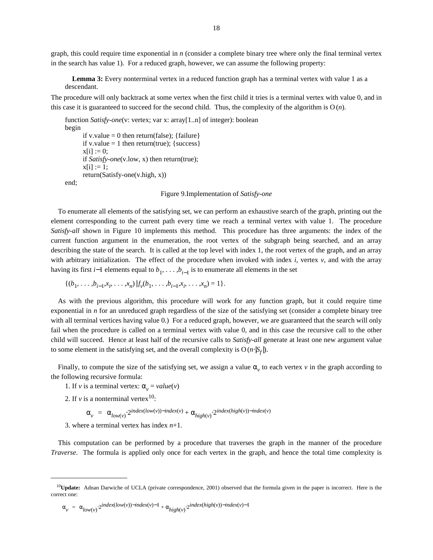graph, this could require time exponential in *n* (consider a complete binary tree where only the final terminal vertex in the search has value 1). For a reduced graph, however, we can assume the following property:

**Lemma 3:** Every nonterminal vertex in a reduced function graph has a terminal vertex with value 1 as a descendant.

The procedure will only backtrack at some vertex when the first child it tries is a terminal vertex with value 0, and in this case it is guaranteed to succeed for the second child. Thus, the complexity of the algorithm is  $O(n)$ .

```
function Satisfy-one(v: vertex; var x: array[1..n] of integer): boolean
begin
      if v.value = 0 then return(false); {failure}
      if v.value = 1 then return(true); {success}
      x[i] := 0;if Satisfy-one(v.low, x) then return(true);
      x[i] := 1;return(Satisfy-one(v.high, x))
end;
```
Figure 9.Implementation of *Satisfy-one*

To enumerate all elements of the satisfying set, we can perform an exhaustive search of the graph, printing out the element corresponding to the current path every time we reach a terminal vertex with value 1. The procedure *Satisfy-all* shown in Figure 10 implements this method. This procedure has three arguments: the index of the current function argument in the enumeration, the root vertex of the subgraph being searched, and an array describing the state of the search. It is called at the top level with index 1, the root vertex of the graph, and an array with arbitrary initialization. The effect of the procedure when invoked with index *i*, vertex *v*, and with the array having its first *i*−1 elements equal to  $b_1, \ldots, b_{i-1}$  is to enumerate all elements in the set

$$
\{(b_1, \ldots, b_{i-1}, x_i, \ldots, x_n) | f_v(b_1, \ldots, b_{i-1}, x_i, \ldots, x_n) = 1\}.
$$

As with the previous algorithm, this procedure will work for any function graph, but it could require time exponential in *n* for an unreduced graph regardless of the size of the satisfying set (consider a complete binary tree with all terminal vertices having value 0.) For a reduced graph, however, we are guaranteed that the search will only fail when the procedure is called on a terminal vertex with value 0, and in this case the recursive call to the other child will succeed. Hence at least half of the recursive calls to *Satisfy-all* generate at least one new argument value to some element in the satisfying set, and the overall complexity is  $O(n \cdot |S_f|)$ .

Finally, to compute the size of the satisfying set, we assign a value  $\alpha_v$  to each vertex  $v$  in the graph according to the following recursive formula:

- 1. If *v* is a terminal vertex:  $\alpha_v = value(v)$
- 2. If  $v$  is a nonterminal vertex<sup>10</sup>:

 $\alpha_v = \alpha_{low(v)} \cdot 2^{index(low(v)) - index(v)} + \alpha_{high(v)} \cdot 2^{index(high(v)) - index(v)}$ 

3. where a terminal vertex has index *n*+1.

This computation can be performed by a procedure that traverses the graph in the manner of the procedure *Traverse*. The formula is applied only once for each vertex in the graph, and hence the total time complexity is

$$
\alpha_{v} = \alpha_{low(v)} \cdot 2^{index(low(v)) - index(v) - 1} + \alpha_{high(v)} \cdot 2^{index(high(v)) - index(v) - 1}
$$

<sup>10</sup>**Update:** Adnan Darwiche of UCLA (private correspondence, 2001) observed that the formula given in the paper is incorrect. Here is the correct one: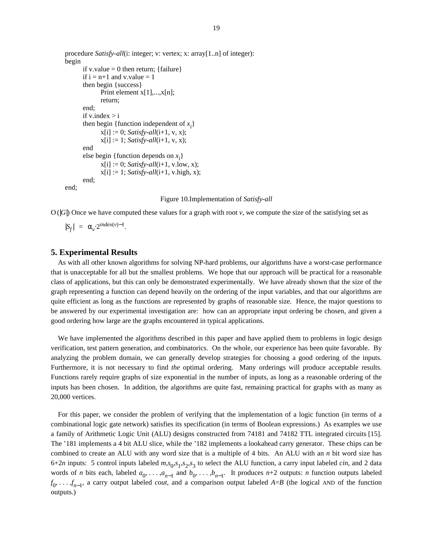```
procedure Satisfy-all(i: integer; v: vertex; x: array[1..n] of integer):
begin
      if v.value = 0 then return; {failure}
      if i = n+1 and v.value = 1
      then begin {success}
             Print element x[1],...,x[n];
             return;
      end;
      if v.index > ithen begin {function independent of x_i}
             x[i] := 0; Satisfy-all(i+1, v, x);
             x[i] := 1; Satisfy-all(i+1, v, x);
      end
       else begin {function depends on x_i}
             x[i] := 0; Satisfy-all(i+1, v.low, x);
             x[i] := 1; Satisfy-all(i+1, v.high, x);end;
end;
```
#### Figure 10.Implementation of *Satisfy-all*

 $O(|G|)$  Once we have computed these values for a graph with root  $\nu$ , we compute the size of the satisfying set as

 $|S_f| = \alpha_v \cdot 2^{index(v)-1}.$ 

# **5. Experimental Results**

As with all other known algorithms for solving NP-hard problems, our algorithms have a worst-case performance that is unacceptable for all but the smallest problems. We hope that our approach will be practical for a reasonable class of applications, but this can only be demonstrated experimentally. We have already shown that the size of the graph representing a function can depend heavily on the ordering of the input variables, and that our algorithms are quite efficient as long as the functions are represented by graphs of reasonable size. Hence, the major questions to be answered by our experimental investigation are: how can an appropriate input ordering be chosen, and given a good ordering how large are the graphs encountered in typical applications.

We have implemented the algorithms described in this paper and have applied them to problems in logic design verification, test pattern generation, and combinatorics. On the whole, our experience has been quite favorable. By analyzing the problem domain, we can generally develop strategies for choosing a good ordering of the inputs. Furthermore, it is not necessary to find *the* optimal ordering. Many orderings will produce acceptable results. Functions rarely require graphs of size exponential in the number of inputs, as long as a reasonable ordering of the inputs has been chosen. In addition, the algorithms are quite fast, remaining practical for graphs with as many as 20,000 vertices.

For this paper, we consider the problem of verifying that the implementation of a logic function (in terms of a combinational logic gate network) satisfies its specification (in terms of Boolean expressions.) As examples we use a family of Arithmetic Logic Unit (ALU) designs constructed from 74181 and 74182 TTL integrated circuits [15]. The '181 implements a 4 bit ALU slice, while the '182 implements a lookahead carry generator. These chips can be combined to create an ALU with any word size that is a multiple of 4 bits. An ALU with an *n* bit word size has 6+2*n* inputs: 5 control inputs labeled  $m, s_0, s_1, s_2, s_3$  to select the ALU function, a carry input labeled *cin*, and 2 data words of *n* bits each, labeled  $a_0, \ldots, a_{n-1}$  and  $b_0, \ldots, b_{n-1}$ . It produces  $n+2$  outputs: *n* function outputs labeled  $f_0, \ldots, f_{n-1}$ , a carry output labeled *cout*, and a comparison output labeled *A*=*B* (the logical AND of the function outputs.)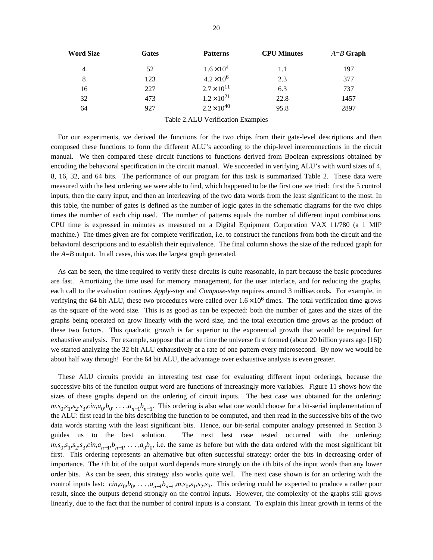| <b>Word Size</b> | Gates | <b>Patterns</b>      | <b>CPU Minutes</b> | $A = B$ Graph |
|------------------|-------|----------------------|--------------------|---------------|
| $\overline{4}$   | 52    | $1.6 \times 10^{4}$  | 1.1                | 197           |
| 8                | 123   | $4.2 \times 10^6$    | 2.3                | 377           |
| 16               | 227   | $2.7 \times 10^{11}$ | 6.3                | 737           |
| 32               | 473   | $1.2 \times 10^{21}$ | 22.8               | 1457          |
| 64               | 927   | $2.2 \times 10^{40}$ | 95.8               | 2897          |

Table 2.ALU Verification Examples

For our experiments, we derived the functions for the two chips from their gate-level descriptions and then composed these functions to form the different ALU's according to the chip-level interconnections in the circuit manual. We then compared these circuit functions to functions derived from Boolean expressions obtained by encoding the behavioral specification in the circuit manual. We succeeded in verifying ALU's with word sizes of 4, 8, 16, 32, and 64 bits. The performance of our program for this task is summarized Table 2. These data were measured with the best ordering we were able to find, which happened to be the first one we tried: first the 5 control inputs, then the carry input, and then an interleaving of the two data words from the least significant to the most. In this table, the number of gates is defined as the number of logic gates in the schematic diagrams for the two chips times the number of each chip used. The number of patterns equals the number of different input combinations. CPU time is expressed in minutes as measured on a Digital Equipment Corporation VAX 11/780 (a 1 MIP machine.) The times given are for complete verification, i.e. to construct the functions from both the circuit and the behavioral descriptions and to establish their equivalence. The final column shows the size of the reduced graph for the *A*=*B* output. In all cases, this was the largest graph generated.

As can be seen, the time required to verify these circuits is quite reasonable, in part because the basic procedures are fast. Amortizing the time used for memory management, for the user interface, and for reducing the graphs, each call to the evaluation routines *Apply-step* and *Compose-step* requires around 3 milliseconds. For example, in verifying the 64 bit ALU, these two procedures were called over  $1.6 \times 10^6$  times. The total verification time grows as the square of the word size. This is as good as can be expected: both the number of gates and the sizes of the graphs being operated on grow linearly with the word size, and the total execution time grows as the product of these two factors. This quadratic growth is far superior to the exponential growth that would be required for exhaustive analysis. For example, suppose that at the time the universe first formed (about 20 billion years ago [16]) we started analyzing the 32 bit ALU exhaustively at a rate of one pattern every microsecond. By now we would be about half way through! For the 64 bit ALU, the advantage over exhaustive analysis is even greater.

These ALU circuits provide an interesting test case for evaluating different input orderings, because the successive bits of the function output word are functions of increasingly more variables. Figure 11 shows how the sizes of these graphs depend on the ordering of circuit inputs. The best case was obtained for the ordering:  $m, s_0, s_1, s_2, s_3, c \in (a_0, b_0, \ldots, a_{n-1}b_{n-1})$ . This ordering is also what one would choose for a bit-serial implementation of the ALU: first read in the bits describing the function to be computed, and then read in the successive bits of the two data words starting with the least significant bits. Hence, our bit-serial computer analogy presented in Section 3 guides us to the best solution. The next best case tested occurred with the ordering:  $m, s_0, s_1, s_2, s_3, c$ *in*, $a_{n-1}, b_{n-1}, \ldots, a_0 b_0$ , i.e. the same as before but with the data ordered with the most significant bit first. This ordering represents an alternative but often successful strategy: order the bits in decreasing order of importance. The *i*th bit of the output word depends more strongly on the *i*th bits of the input words than any lower order bits. As can be seen, this strategy also works quite well. The next case shown is for an ordering with the control inputs last:  $\text{cin}, a_0, b_0, \ldots, a_{n-1}b_{n-1}, m, s_0, s_1, s_2, s_3$ . This ordering could be expected to produce a rather poor result, since the outputs depend strongly on the control inputs. However, the complexity of the graphs still grows linearly, due to the fact that the number of control inputs is a constant. To explain this linear growth in terms of the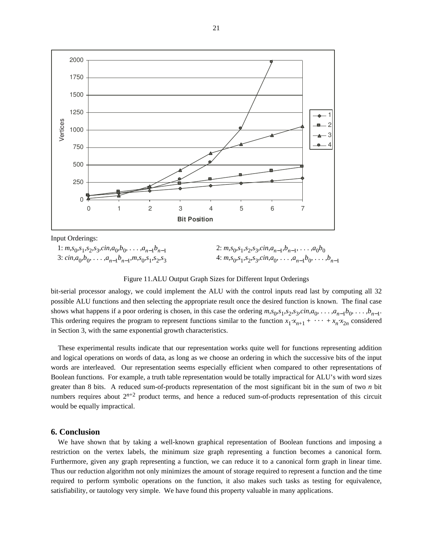

Input Orderings:

1:  $m, s_0, s_1, s_2, s_3, c \infty, a_0, b_0, \ldots, a_{n-1} b_{n-1}$ 3:  $\operatorname{cin}, a_0, b_0, \ldots, a_{n-1}b_{n-1}, m, s_0, s_1, s_2, s_3$  2:  $m, s_0, s_1, s_2, s_3, c \in (a_{n-1}, b_{n-1}, \ldots, a_0, b_0)$ 4:  $m, s_0, s_1, s_2, s_3, c \in (a_0, \ldots, a_{n-1}, b_0, \ldots, b_{n-1})$ 

Figure 11.ALU Output Graph Sizes for Different Input Orderings

bit-serial processor analogy, we could implement the ALU with the control inputs read last by computing all 32 possible ALU functions and then selecting the appropriate result once the desired function is known. The final case shows what happens if a poor ordering is chosen, in this case the ordering  $m, s_0, s_1, s_2, s_3, c \in (a_0, \ldots, a_{n-1}, b_0, \ldots, b_{n-1})$ . This ordering requires the program to represent functions similar to the function  $x_1 \cdot x_{n+1} + \cdots + x_n \cdot x_{2n}$  considered in Section 3, with the same exponential growth characteristics.

These experimental results indicate that our representation works quite well for functions representing addition and logical operations on words of data, as long as we choose an ordering in which the successive bits of the input words are interleaved. Our representation seems especially efficient when compared to other representations of Boolean functions. For example, a truth table representation would be totally impractical for ALU's with word sizes greater than 8 bits. A reduced sum-of-products representation of the most significant bit in the sum of two *n* bit numbers requires about  $2^{n+2}$  product terms, and hence a reduced sum-of-products representation of this circuit would be equally impractical.

### **6. Conclusion**

We have shown that by taking a well-known graphical representation of Boolean functions and imposing a restriction on the vertex labels, the minimum size graph representing a function becomes a canonical form. Furthermore, given any graph representing a function, we can reduce it to a canonical form graph in linear time. Thus our reduction algorithm not only minimizes the amount of storage required to represent a function and the time required to perform symbolic operations on the function, it also makes such tasks as testing for equivalence, satisfiability, or tautology very simple. We have found this property valuable in many applications.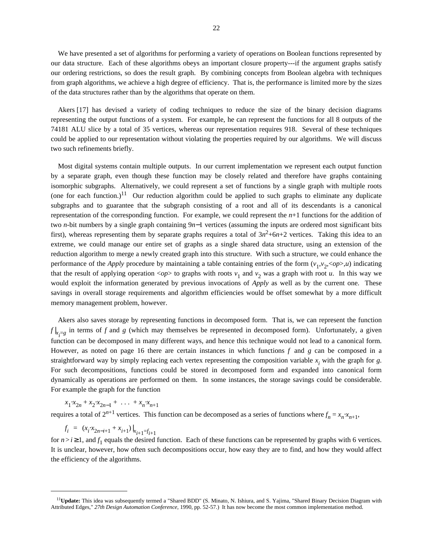We have presented a set of algorithms for performing a variety of operations on Boolean functions represented by our data structure. Each of these algorithms obeys an important closure property---if the argument graphs satisfy our ordering restrictions, so does the result graph. By combining concepts from Boolean algebra with techniques from graph algorithms, we achieve a high degree of efficiency. That is, the performance is limited more by the sizes of the data structures rather than by the algorithms that operate on them.

Akers [17] has devised a variety of coding techniques to reduce the size of the binary decision diagrams representing the output functions of a system. For example, he can represent the functions for all 8 outputs of the 74181 ALU slice by a total of 35 vertices, whereas our representation requires 918. Several of these techniques could be applied to our representation without violating the properties required by our algorithms. We will discuss two such refinements briefly.

Most digital systems contain multiple outputs. In our current implementation we represent each output function by a separate graph, even though these function may be closely related and therefore have graphs containing isomorphic subgraphs. Alternatively, we could represent a set of functions by a single graph with multiple roots (one for each function.)<sup>11</sup> Our reduction algorithm could be applied to such graphs to eliminate any duplicate subgraphs and to guarantee that the subgraph consisting of a root and all of its descendants is a canonical representation of the corresponding function. For example, we could represent the *n*+1 functions for the addition of two *n*-bit numbers by a single graph containing 9*n*−1 vertices (assuming the inputs are ordered most significant bits first), whereas representing them by separate graphs requires a total of  $3n^2+6n+2$  vertices. Taking this idea to an extreme, we could manage our entire set of graphs as a single shared data structure, using an extension of the reduction algorithm to merge a newly created graph into this structure. With such a structure, we could enhance the performance of the *Apply* procedure by maintaining a table containing entries of the form  $(v_1, v_2, <\!\! op\!>), u)$  indicating that the result of applying operation  $\langle op \rangle$  to graphs with roots  $v_1$  and  $v_2$  was a graph with root *u*. In this way we would exploit the information generated by previous invocations of *Apply* as well as by the current one. These savings in overall storage requirements and algorithm efficiencies would be offset somewhat by a more difficult memory management problem, however.

Akers also saves storage by representing functions in decomposed form. That is, we can represent the function  $f|_{x_i=g}$  in terms of *f* and *g* (which may themselves be represented in decomposed form). Unfortunately, a given function can be decomposed in many different ways, and hence this technique would not lead to a canonical form. However, as noted on page 16 there are certain instances in which functions *f* and *g* can be composed in a straightforward way by simply replacing each vertex representing the composition variable  $x_i$  with the graph for  $g$ . For such decompositions, functions could be stored in decomposed form and expanded into canonical form dynamically as operations are performed on them. In some instances, the storage savings could be considerable. For example the graph for the function

 $x_1 \cdot x_{2n} + x_2 \cdot x_{2n-1} + \ldots + x_n \cdot x_{n+1}$ requires a total of  $2^{n+1}$  vertices. This function can be decomposed as a series of functions where  $f_n = x_n \cdot x_{n+1}$ ,

$$
f_i = (x_i \cdot x_{2n-i+1} + x_{i+1})|_{x_{i+1} = f_{i+1}}
$$

for  $n > i \ge 1$ , and  $f_1$  equals the desired function. Each of these functions can be represented by graphs with 6 vertices. It is unclear, however, how often such decompositions occur, how easy they are to find, and how they would affect the efficiency of the algorithms.

<sup>11</sup>**Update:** This idea was subsequently termed a "Shared BDD" (S. Minato, N. Ishiura, and S. Yajima, "Shared Binary Decision Diagram with Attributed Edges," *27th Design Automation Conference*, 1990, pp. 52-57.) It has now become the most common implementation method.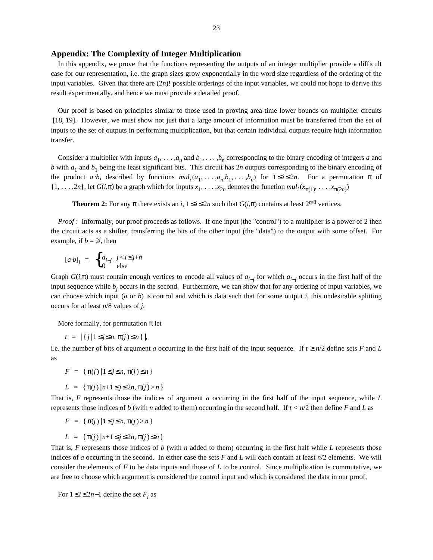# **Appendix: The Complexity of Integer Multiplication**

In this appendix, we prove that the functions representing the outputs of an integer multiplier provide a difficult case for our representation, i.e. the graph sizes grow exponentially in the word size regardless of the ordering of the input variables. Given that there are  $(2n)!$  possible orderings of the input variables, we could not hope to derive this result experimentally, and hence we must provide a detailed proof.

Our proof is based on principles similar to those used in proving area-time lower bounds on multiplier circuits [18, 19]. However, we must show not just that a large amount of information must be transferred from the set of inputs to the set of outputs in performing multiplication, but that certain individual outputs require high information transfer.

Consider a multiplier with inputs  $a_1, \ldots, a_n$  and  $b_1, \ldots, b_n$  corresponding to the binary encoding of integers *a* and *b* with  $a_1$  and  $b_1$  being the least significant bits. This circuit has  $2n$  outputs corresponding to the binary encoding of the product *a b*, described by functions  $mul_i(a_1, \ldots, a_n, b_1, \ldots, b_n)$  for  $1 \le i \le 2n$ . For a permutation  $\pi$  of  $\{1, \ldots, 2n\}$ , let  $G(i,\pi)$  be a graph which for inputs  $x_1, \ldots, x_{2n}$  denotes the function  $mul_i(x_{\pi(1)}, \ldots, x_{\pi(2n)})$ 

**Theorem 2:** For any  $\pi$  there exists an *i*,  $1 \le i \le 2n$  such that  $G(i,\pi)$  contains at least  $2^{n/8}$  vertices.

*Proof* : Informally, our proof proceeds as follows. If one input (the "control") to a multiplier is a power of 2 then the circuit acts as a shifter, transferring the bits of the other input (the "data") to the output with some offset. For example, if  $b = 2^j$ , then

$$
[a \cdot b]_i = \begin{cases} a_{i-j} & j < i \leq j+n \\ 0 & \text{else} \end{cases}
$$

Graph  $G(i,\pi)$  must contain enough vertices to encode all values of  $a_{i-j}$  for which  $a_{i-j}$  occurs in the first half of the input sequence while *b<sup>j</sup>* occurs in the second. Furthermore, we can show that for any ordering of input variables, we can choose which input (*a* or *b*) is control and which is data such that for some output *i*, this undesirable splitting occurs for at least *n*/8 values of *j*.

More formally, for permutation  $\pi$  let

 $t = |\{j | 1 \leq j \leq n, \pi(j) \leq n \}|,$ 

i.e. the number of bits of argument *a* occurring in the first half of the input sequence. If  $t \ge n/2$  define sets *F* and *L* as

 $F = \{\pi(i) | 1 \leq j \leq n, \pi(j) \leq n\}$ 

$$
L = \{\pi(j) | n+1 \leq j \leq 2n, \pi(j) > n\}
$$

That is, *F* represents those the indices of argument *a* occurring in the first half of the input sequence, while *L* represents those indices of *b* (with *n* added to them) occurring in the second half. If *t* < *n*/2 then define *F* and *L* as

$$
F = \{\pi(j) | 1 \leq j \leq n, \pi(j) > n\}
$$

$$
L = \{\pi(j) | n+1 \leq j \leq 2n, \pi(j) \leq n\}
$$

That is, *F* represents those indices of *b* (with *n* added to them) occurring in the first half while *L* represents those indices of *a* occurring in the second. In either case the sets *F* and *L* will each contain at least *n*/2 elements. We will consider the elements of *F* to be data inputs and those of *L* to be control. Since multiplication is commutative, we are free to choose which argument is considered the control input and which is considered the data in our proof.

For  $1 \le i \le 2n-1$  define the set  $F_i$  as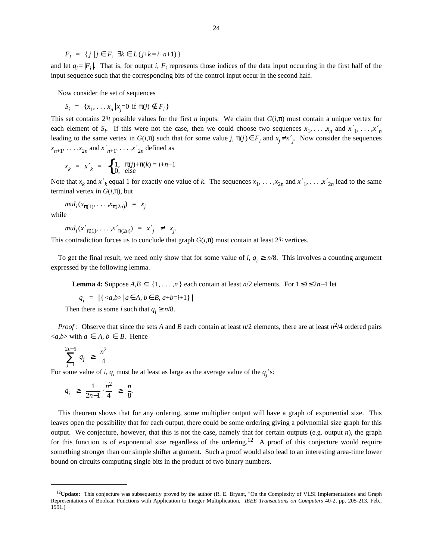$F_i = \{ j | j \in F, \exists k \in L(j+k=i+n+1) \}$ 

and let  $q_i = |F_i|$ . That is, for output *i*,  $F_i$  represents those indices of the data input occurring in the first half of the input sequence such that the corresponding bits of the control input occur in the second half.

Now consider the set of sequences

$$
S_i = \{x_1, \dots x_n | x_j = 0 \text{ if } \pi(j) \notin F_i \}
$$

This set contains  $2^{q}$  possible values for the first *n* inputs. We claim that  $G(i,\pi)$  must contain a unique vertex for each element of  $S_i$ . If this were not the case, then we could choose two sequences  $x_1, \ldots, x_n$  and  $x'_1, \ldots, x'_n$ leading to the same vertex in  $G(i,\pi)$  such that for some value *j*,  $\pi(j) \in F_i$  and  $x_j \neq x'$ . Now consider the sequences  $x_{n+1}, \ldots, x_{2n}$  and  $x'_{n+1}, \ldots, x'_{2n}$  defined as

$$
x_k = x'_k = \begin{cases} 1, & \pi(j) + \pi(k) = i + n + 1 \\ 0, & \text{else} \end{cases}
$$

Note that  $x_k$  and  $x'_k$  equal 1 for exactly one value of *k*. The sequences  $x_1, \ldots, x_{2n}$  and  $x'_1, \ldots, x'_{2n}$  lead to the same terminal vertex in  $G(i,\pi)$ , but

$$
mul_i(x_{\pi(1)}, \ldots, x_{\pi(2n)}) = x_j
$$

while

$$
mul_i(x'_{\pi(1)}, \ldots, x'_{\pi(2n)}) = x'_{j} \neq x_{j}.
$$

This contradiction forces us to conclude that graph  $G(i,\pi)$  must contain at least  $2q_i$  vertices.

To get the final result, we need only show that for some value of  $i, q_i \ge n/8$ . This involves a counting argument expressed by the following lemma.

**Lemma 4:** Suppose  $A, B \subseteq \{1, \ldots, n\}$  each contain at least *n*/2 elements. For  $1 \le i \le 2n-1$  let

$$
q_i = |\{  | a \in A, b \in B, a+b=i+1 \}|
$$

Then there is some *i* such that  $q_i \ge n/8$ .

*Proof* : Observe that since the sets *A* and *B* each contain at least *n*/2 elements, there are at least *n* 2 /4 ordered pairs  $\langle a,b \rangle$  with  $a \in A, b \in B$ . Hence

$$
\sum_{j=1}^{2n-1} q_j \geq \frac{n^2}{4}
$$

For some value of *i*,  $q_i$  must be at least as large as the average value of the  $q_j$ 's:

$$
q_i \ge \frac{1}{2n-1} \cdot \frac{n^2}{4} \ge \frac{n}{8}.
$$

This theorem shows that for any ordering, some multiplier output will have a graph of exponential size. This leaves open the possibility that for each output, there could be some ordering giving a polynomial size graph for this output. We conjecture, however, that this is not the case, namely that for certain outputs (e.g. output *n*), the graph for this function is of exponential size regardless of the ordering.<sup>12</sup> A proof of this conjecture would require something stronger than our simple shifter argument. Such a proof would also lead to an interesting area-time lower bound on circuits computing single bits in the product of two binary numbers.

<sup>&</sup>lt;sup>12</sup>Update: This conjecture was subsequently proved by the author (R. E. Bryant, "On the Complexity of VLSI Implementations and Graph Representations of Boolean Functions with Application to Integer Multiplication," *IEEE Transactions on Computers* 40-2, pp. 205-213, Feb., 1991.)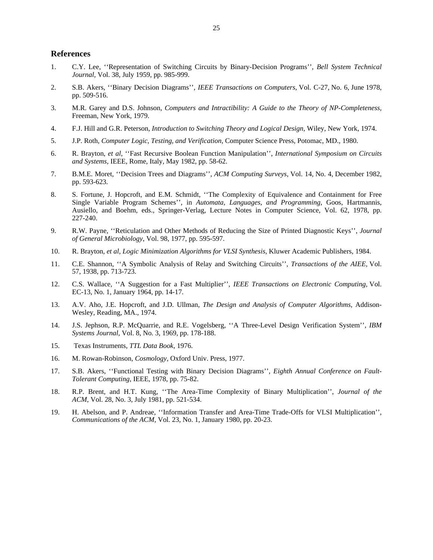# **References**

- 1. C.Y. Lee, ''Representation of Switching Circuits by Binary-Decision Programs'', *Bell System Technical Journal*, Vol. 38, July 1959, pp. 985-999.
- 2. S.B. Akers, ''Binary Decision Diagrams'', *IEEE Transactions on Computers*, Vol. C-27, No. 6, June 1978, pp. 509-516.
- 3. M.R. Garey and D.S. Johnson, *Computers and Intractibility: A Guide to the Theory of NP-Completeness,* Freeman, New York, 1979.
- 4. F.J. Hill and G.R. Peterson, *Introduction to Switching Theory and Logical Design,* Wiley, New York, 1974.
- 5. J.P. Roth, *Computer Logic, Testing, and Verification,* Computer Science Press, Potomac, MD., 1980.
- 6. R. Brayton, *et al*, ''Fast Recursive Boolean Function Manipulation'', *International Symposium on Circuits and Systems*, IEEE, Rome, Italy, May 1982, pp. 58-62.
- 7. B.M.E. Moret, ''Decision Trees and Diagrams'', *ACM Computing Surveys*, Vol. 14, No. 4, December 1982, pp. 593-623.
- 8. S. Fortune, J. Hopcroft, and E.M. Schmidt, ''The Complexity of Equivalence and Containment for Free Single Variable Program Schemes'', in *Automata, Languages, and Programming,* Goos, Hartmannis, Ausiello, and Boehm, eds., Springer-Verlag, Lecture Notes in Computer Science, Vol. 62, 1978, pp. 227-240.
- 9. R.W. Payne, ''Reticulation and Other Methods of Reducing the Size of Printed Diagnostic Keys'', *Journal of General Microbiology*, Vol. 98, 1977, pp. 595-597.
- 10. R. Brayton, *et al*, *Logic Minimization Algorithms for VLSI Synthesis,* Kluwer Academic Publishers, 1984.
- 11. C.E. Shannon, ''A Symbolic Analysis of Relay and Switching Circuits'', *Transactions of the AIEE*, Vol. 57, 1938, pp. 713-723.
- 12. C.S. Wallace, ''A Suggestion for a Fast Multiplier'', *IEEE Transactions on Electronic Computing*, Vol. EC-13, No. 1, January 1964, pp. 14-17.
- 13. A.V. Aho, J.E. Hopcroft, and J.D. Ullman, *The Design and Analysis of Computer Algorithms,* Addison-Wesley, Reading, MA., 1974.
- 14. J.S. Jephson, R.P. McQuarrie, and R.E. Vogelsberg, ''A Three-Level Design Verification System'', *IBM Systems Journal*, Vol. 8, No. 3, 1969, pp. 178-188.
- 15. Texas Instruments, *TTL Data Book,* 1976.
- 16. M. Rowan-Robinson, *Cosmology,* Oxford Univ. Press, 1977.
- 17. S.B. Akers, ''Functional Testing with Binary Decision Diagrams'', *Eighth Annual Conference on Fault-Tolerant Computing*, IEEE, 1978, pp. 75-82.
- 18. R.P. Brent, and H.T. Kung, ''The Area-Time Complexity of Binary Multiplication'', *Journal of the ACM*, Vol. 28, No. 3, July 1981, pp. 521-534.
- 19. H. Abelson, and P. Andreae, ''Information Transfer and Area-Time Trade-Offs for VLSI Multiplication'', *Communications of the ACM*, Vol. 23, No. 1, January 1980, pp. 20-23.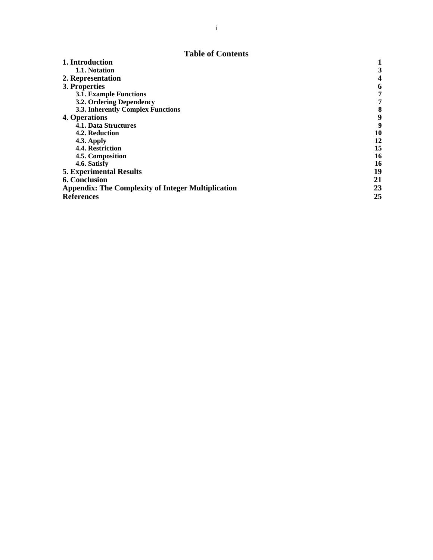# **Table of Contents**

| 1. Introduction                                           |    |
|-----------------------------------------------------------|----|
| 1.1. Notation                                             | 3  |
| 2. Representation                                         |    |
| 3. Properties                                             | 6  |
| <b>3.1. Example Functions</b>                             | 7  |
| 3.2. Ordering Dependency                                  | 7  |
| 3.3. Inherently Complex Functions                         | 8  |
| 4. Operations                                             | 9  |
| 4.1. Data Structures                                      | 9  |
| 4.2. Reduction                                            | 10 |
| <b>4.3. Apply</b>                                         | 12 |
| 4.4. Restriction                                          | 15 |
| 4.5. Composition                                          | 16 |
| 4.6. Satisfy                                              | 16 |
| <b>5. Experimental Results</b>                            | 19 |
| <b>6. Conclusion</b>                                      | 21 |
| <b>Appendix: The Complexity of Integer Multiplication</b> | 23 |
| <b>References</b>                                         | 25 |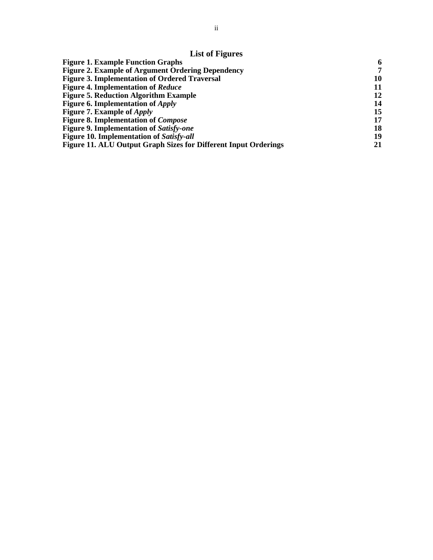| <b>Figure 1. Example Function Graphs</b>                        | -6 |
|-----------------------------------------------------------------|----|
| <b>Figure 2. Example of Argument Ordering Dependency</b>        | 7  |
| <b>Figure 3. Implementation of Ordered Traversal</b>            | 10 |
| <b>Figure 4. Implementation of Reduce</b>                       | 11 |
| <b>Figure 5. Reduction Algorithm Example</b>                    | 12 |
| <b>Figure 6. Implementation of Apply</b>                        | 14 |
| <b>Figure 7. Example of Apply</b>                               | 15 |
| <b>Figure 8. Implementation of Compose</b>                      | 17 |
| <b>Figure 9. Implementation of Satisfy-one</b>                  | 18 |
| <b>Figure 10. Implementation of Satisfy-all</b>                 | 19 |
| Figure 11. ALU Output Graph Sizes for Different Input Orderings | 21 |